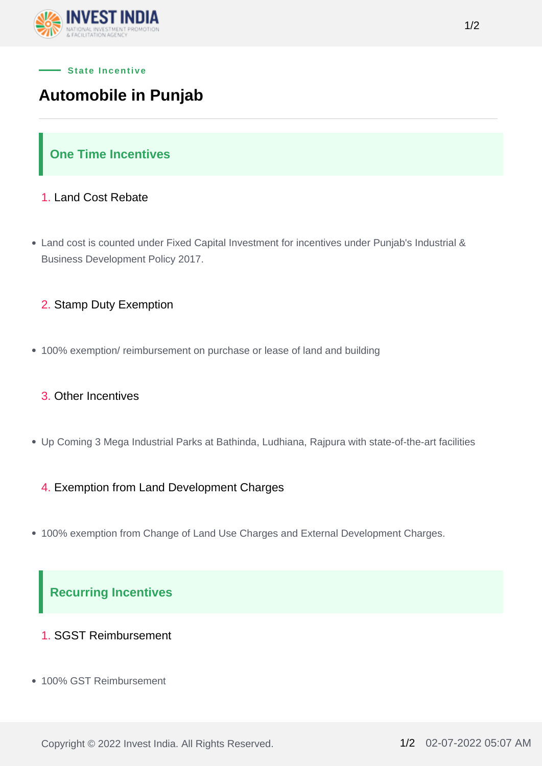

# **Automobile in Punjab**

# **One Time Incentives**

### 1. Land Cost Rebate

- Land cost is counted under Fixed Capital Investment for incentives under Punjab's Industrial & Business Development Policy 2017.
	- 2. Stamp Duty Exemption
- 100% exemption/ reimbursement on purchase or lease of land and building

### 3. Other Incentives

Up Coming 3 Mega Industrial Parks at Bathinda, Ludhiana, Rajpura with state-of-the-art facilities

### 4. Exemption from Land Development Charges

100% exemption from Change of Land Use Charges and External Development Charges.

# **Recurring Incentives**

- 1. SGST Reimbursement
- 100% GST Reimbursement